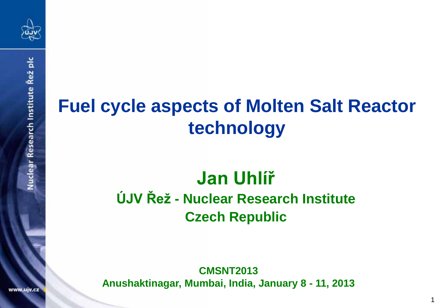

# **Fuel cycle aspects of Molten Salt Reactor technology**

# **Jan Uhlíř ÚJV Řež - Nuclear Research Institute Czech Republic**

**CMSNT2013 Anushaktinagar, Mumbai, India, January 8 - 11, 2013**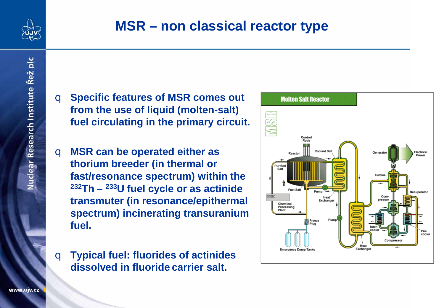

# **MSR – non classical reactor type**

- q **Specific features of MSR comes out from the use of liquid (molten-salt) fuel circulating in the primary circuit.**
- q **MSR can be operated either as thorium breeder (in thermal or fast/resonance spectrum) within the 232Th – 233U fuel cycle or as actinide transmuter (in resonance/epithermal spectrum) incinerating transuranium fuel.**
- q **Typical fuel: fluorides of actinides dissolved in fluoride carrier salt.**

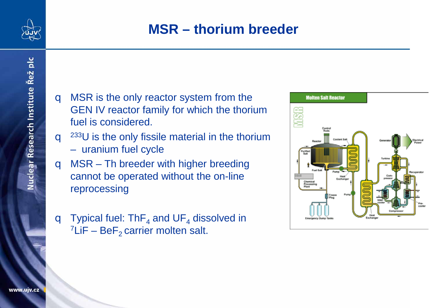

Nuclear Research Institute Řež plc

### **MSR – thorium breeder**

- **q** MSR is the only reactor system from the GEN IV reactor family for which the thorium fuel is considered.
- $q^{233}$ U is the only fissile material in the thorium
	- uranium fuel cycle
- q MSR Th breeder with higher breeding cannot be operated without the on-line reprocessing
- **q** Typical fuel: ThF<sub>4</sub> and UF<sub>4</sub> dissolved in <sup>7</sup>LiF BeF<sub>2</sub> carrier molten salt.

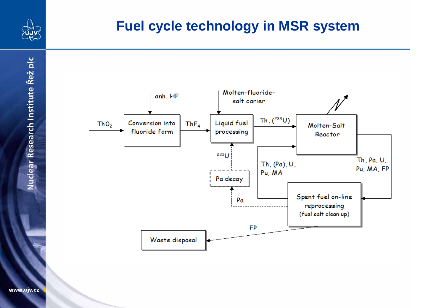

### **Fuel cycle technology in MSR system**



Nuclear Research Institute Řež plc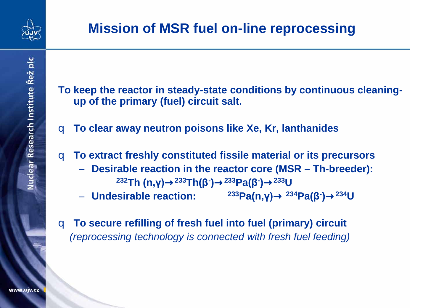

- **To keep the reactor in steady-state conditions by continuous cleaningup of the primary (fuel) circuit salt.**
- q **To clear away neutron poisons like Xe, Kr, lanthanides**
- q **To extract freshly constituted fissile material or its precursors**
	- **Desirable reaction in the reactor core (MSR – Th-breeder): 232Th (n,γ)**®**233Th(β- )**®**233Pa(β- )**®**233U**
	- $-$  Undesirable reaction: <sup>233</sup>Pa(n,γ)<sup>®</sup> <sup>234</sup>Pa(β<sup>-</sup>)<sup>®</sup> <sup>234</sup>U
- q **To secure refilling of fresh fuel into fuel (primary) circuit**  *(reprocessing technology is connected with fresh fuel feeding)*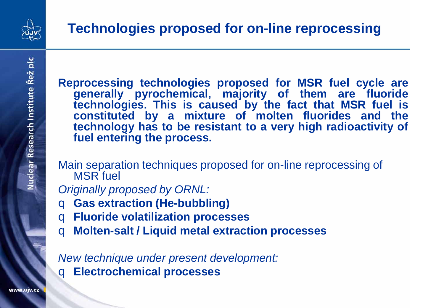

Nuclear Research Institute Řež plc

**Reprocessing technologies proposed for MSR fuel cycle are generally pyrochemical, majority of them are fluoride technologies. This is caused by the fact that MSR fuel is constituted by a mixture of molten fluorides and the technology has to be resistant to a very high radioactivity of fuel entering the process.**

Main separation techniques proposed for on-line reprocessing of MSR fuel

*Originally proposed by ORNL:*

- q **Gas extraction (He-bubbling)**
- q **Fluoride volatilization processes**
- q **Molten-salt / Liquid metal extraction processes**

*New technique under present development:*  q **Electrochemical processes**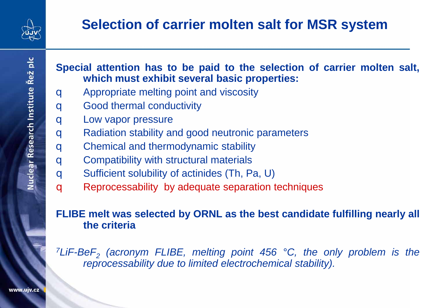

# **Selection of carrier molten salt for MSR system**

Nuclear Research Institute Řež plc

#### **Special attention has to be paid to the selection of carrier molten salt, which must exhibit several basic properties:**

- **q** Appropriate melting point and viscosity
- **q** Good thermal conductivity
- **q** Low vapor pressure
- q Radiation stability and good neutronic parameters
- **q** Chemical and thermodynamic stability
- **q** Compatibility with structural materials
- q Sufficient solubility of actinides (Th, Pa, U)
- **q** Reprocessability by adequate separation techniques

#### **FLIBE melt was selected by ORNL as the best candidate fulfilling nearly all the criteria**

*7LiF-BeF2 (acronym FLIBE, melting point 456 °C, the only problem is the reprocessability due to limited electrochemical stability).*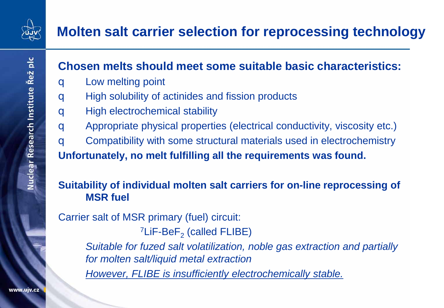

# **Molten salt carrier selection for reprocessing technology**

### **Chosen melts should meet some suitable basic characteristics:**

- q Low melting point
- **q** High solubility of actinides and fission products
- q High electrochemical stability
- q Appropriate physical properties (electrical conductivity, viscosity etc.)
- q Compatibility with some structural materials used in electrochemistry

**Unfortunately, no melt fulfilling all the requirements was found.**

#### **Suitability of individual molten salt carriers for on-line reprocessing of MSR fuel**

Carrier salt of MSR primary (fuel) circuit:

 $7$ LiF-BeF<sub>2</sub> (called FLIBE)

*Suitable for fuzed salt volatilization, noble gas extraction and partially for molten salt/liquid metal extraction*

*However, FLIBE is insufficiently electrochemically stable.*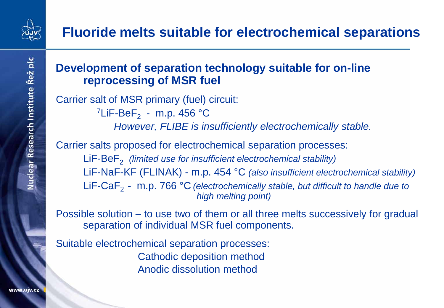

### **Development of separation technology suitable for on-line reprocessing of MSR fuel**

Carrier salt of MSR primary (fuel) circuit: <sup>7</sup>LiF-BeF<sub>2</sub> - m.p. 456 °C *However, FLIBE is insufficiently electrochemically stable.*

Carrier salts proposed for electrochemical separation processes:

LiF-BeF<sub>2</sub> *(limited use for insufficient electrochemical stability)* LiF-NaF-KF (FLINAK) - m.p. 454 °C *(also insufficient electrochemical stability)* LiF-CaF<sub>2</sub> - m.p. 766 °C *(electrochemically stable, but difficult to handle due to high melting point)* 

Possible solution – to use two of them or all three melts successively for gradual separation of individual MSR fuel components.

Suitable electrochemical separation processes: Cathodic deposition method Anodic dissolution method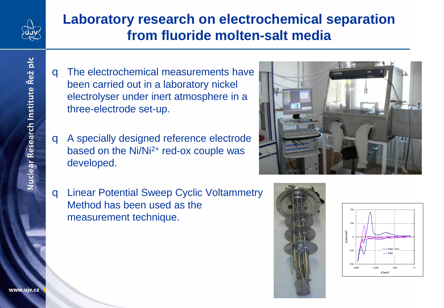

## **Laboratory research on electrochemical separation from fluoride molten-salt media**

- **q** The electrochemical measurements have been carried out in a laboratory nickel electrolyser under inert atmosphere in a three-electrode set-up.
- q A specially designed reference electrode based on the  $Ni/N<sup>2+</sup>$  red-ox couple was developed.
- q Linear Potential Sweep Cyclic Voltammetry Method has been used as the measurement technique.





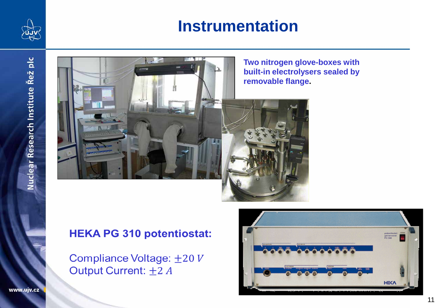

# **Instrumentation**



### **HEKA PG 310 potentiostat:**

Compliance Voltage: ±20 V Output Current: ±2 A

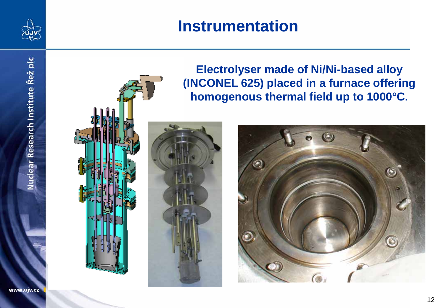

Nuclear Research Institute Řež plc

# **Instrumentation**

**Electrolyser made of Ni/Ni-based alloy (INCONEL 625) placed in a furnace offering homogenous thermal field up to 1000°C.**

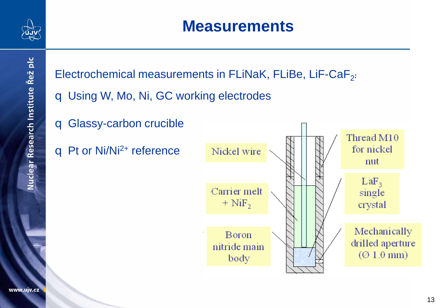



- q Using W, Mo, Ni, GC working electrodes
- q Glassy-carbon crucible
- **q** Pt or Ni/Ni<sup>2+</sup> reference

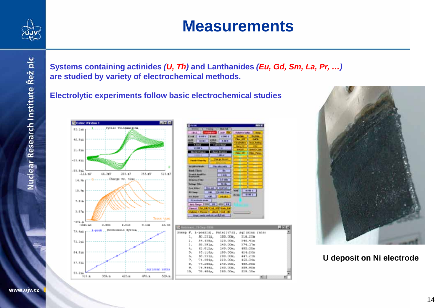

# **Measurements**

**Systems containing actinides** *(U, Th)* **and Lanthanides** *(Eu, Gd, Sm, La, Pr, …)* **are studied by variety of electrochemical methods.**

**Electrolytic experiments follow basic electrochemical studies**





**U deposit on Ni electrode**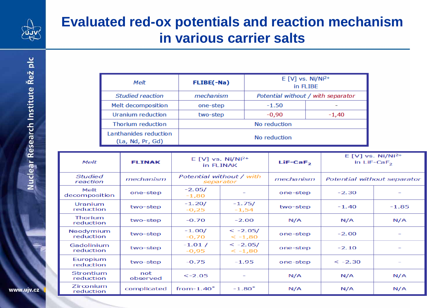

## **Evaluated red-ox potentials and reaction mechanism in various carrier salts**

| Melt                                      | FLIBE(-Na)   | $E[V]$ vs. Ni/Ni <sup>2+</sup><br>in FLIBE |         |
|-------------------------------------------|--------------|--------------------------------------------|---------|
| <b>Studied reaction</b>                   | mechanism    | Potential without / with separator         |         |
| Melt decomposition                        | one-step     | $-1.50$                                    |         |
| Uranium reduction                         | two-step     | $-0,90$                                    | $-1,40$ |
| Thorium reduction                         | No reduction |                                            |         |
| Lanthanides reduction<br>(La, Nd, Pr, Gd) | No reduction |                                            |         |

| <b>Melt</b>                 | <b>FLINAK</b>   | $E[V]$ vs. Ni/Ni <sup>2+</sup><br>in FLINAK |                        | $LiF-CaF2$ | $E[V]$ vs. Ni/Ni <sup>2+</sup><br>in $LiF-CaF2$ |         |
|-----------------------------|-----------------|---------------------------------------------|------------------------|------------|-------------------------------------------------|---------|
| <b>Studied</b><br>reaction  | mechanism       | Potential without / with<br>separator       |                        | mechanism  | Potential without separator                     |         |
| Melt<br>decomposition       | one-step        | $-2.05/$<br>$-1,80$                         |                        | one-step   | $-2.30$                                         |         |
| Uranium<br>reduction        | two-step        | $-1.20/$<br>$-0,25$                         | $-1.75/$<br>$-1,54$    | two-step   | $-1.40$                                         | $-1.85$ |
| <b>Thorium</b><br>reduction | two-step        | $-0.70$                                     | $-2.00$                | N/A        | N/A                                             | N/A     |
| Neodymium<br>reduction      | two-step        | $-1.00/$<br>$-0,70$                         | $< -2.05/$<br>$<-1,80$ | one-step   | $-2.00$                                         |         |
| Gadolinium<br>reduction     | two-step        | $-1.01 /$<br>$-0,95$                        | $<-2.05/$<br>$<-1,80$  | one-step   | $-2.10$                                         |         |
| Europium<br>reduction       | two-step        | $-0.75$                                     | $-1.95$                | one-step   | $<-2.30$                                        |         |
| Strontium<br>reduction      | not<br>observed | $<-2.05$                                    |                        | N/A        | N/A                                             | N/A     |
| Zirconium<br>reduction      | complicated     | from- $1.40^*$                              | $-1.80^*$              | N/A        | N/A                                             | N/A     |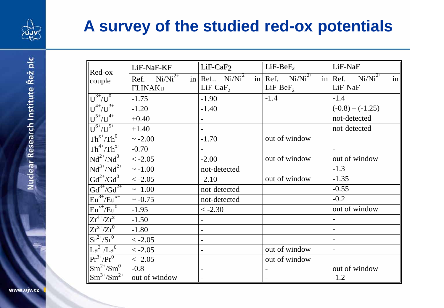

# **A survey of the studied red-ox potentials**

| Red-ox                                                                        | LiF-NaF-KF        | $LiF-CaF2$     | $LiF-BeF2$                                                    | LiF-NaF                  |
|-------------------------------------------------------------------------------|-------------------|----------------|---------------------------------------------------------------|--------------------------|
| couple                                                                        | Ref. $Ni/Ni^{2+}$ |                | in Ref $Ni/Ni^{2+}$ in Ref. $Ni/Ni^{2+}$ in Ref. $Ni/Ni^{2+}$ | in                       |
|                                                                               | FLINAKu           | $LiF-CaF2$     | $LiF-BeF2$                                                    | LiF-NaF                  |
| $U^{3+}/U^0$                                                                  | $-1.75$           | $-1.90$        | $-1.4$                                                        | $-1.4$                   |
| $U^{4+}/U^{3+}$                                                               | $-1.20$           | $-1.40$        |                                                               | $(-0.8) - (-1.25)$       |
| $\frac{U^{5+}/U^{4+}}{U^{6+}/U^{5+}}$                                         | $+0.40$           |                |                                                               | not-detected             |
|                                                                               | $+1.40$           |                |                                                               | not-detected             |
| $Th^{x+}/Th^0$                                                                | $\sim -2.00$      | $-1.70$        | out of window                                                 |                          |
| $Th^{4+}/Th^{x+}$                                                             | $-0.70$           |                |                                                               | $\blacksquare$           |
| $Nd^{2+}/Nd^{0}$                                                              | $< -2.05$         | $-2.00$        | out of window                                                 | out of window            |
| $Nd^{3+}/Nd^{2+}$                                                             | $\sim -1.00$      | not-detected   |                                                               | $-1.3$                   |
| $Gd^{2+}/Gd^{0}$                                                              | $< -2.05$         | $-2.10$        | out of window                                                 | $-1.35$                  |
| $\frac{\mathrm{Gd}^{3+}/\mathrm{Gd}^{2+}}{\mathrm{Eu}^{3+}/\mathrm{Eu}^{x+}}$ | $\sim -1.00$      | not-detected   |                                                               | $-0.55$                  |
|                                                                               | $\sim -0.75$      | not-detected   |                                                               | $-0.2$                   |
| $Eu^{x+}/Eu^{0}$                                                              | $-1.95$           | $<-2.30$       |                                                               | out of window            |
| $Zr^{4+}/Zr^{x+}$                                                             | $-1.50$           |                |                                                               |                          |
| $Zr^{x+}/Zr^0$                                                                | $-1.80$           |                |                                                               |                          |
| $Sr^{2+}/Sr^{0}$                                                              | $< -2.05$         |                |                                                               | $\overline{\phantom{a}}$ |
| $La^{3+}/La^{0}$                                                              | $< -2.05$         | $\blacksquare$ | out of window                                                 |                          |
| $Pr3+/Pr0$                                                                    | $<-2.05$          |                | out of window                                                 |                          |
| $Sm^{2+}/Sm^{0}$                                                              | $-0.8$            | $\blacksquare$ |                                                               | out of window            |
| $Sm^{3+}/Sm^{2+}$                                                             | out of window     |                |                                                               | $-1.2$                   |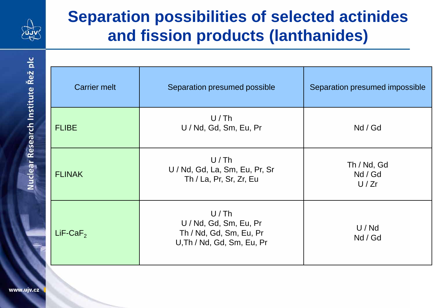

# **Separation possibilities of selected actinides and fission products (lanthanides)**

| <b>Carrier melt</b> | Separation presumed possible                                                            | Separation presumed impossible |  |
|---------------------|-----------------------------------------------------------------------------------------|--------------------------------|--|
| <b>FLIBE</b>        | U/Th<br>U / Nd, Gd, Sm, Eu, Pr                                                          | Nd / Gd                        |  |
| <b>FLINAK</b>       | U/Th<br>U / Nd, Gd, La, Sm, Eu, Pr, Sr<br>Th / La, Pr, Sr, Zr, Eu                       | Th / Nd, Gd<br>Nd / Gd<br>U/Zr |  |
| $LiF-CaF2$          | U/Th<br>U / Nd, Gd, Sm, Eu, Pr<br>Th / Nd, Gd, Sm, Eu, Pr<br>U, Th / Nd, Gd, Sm, Eu, Pr | U/Nd<br>Nd / Gd                |  |

Nuclear Research Institute Řež plc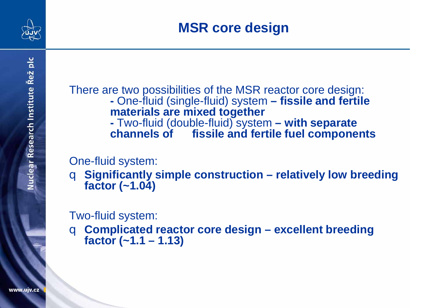

There are two possibilities of the MSR reactor core design: **-** One-fluid (single-fluid) system **– fissile and fertile materials are mixed together -** Two-fluid (double-fluid) system **– with separate** 

fissile and fertile fuel components

One-fluid system:

q **Significantly simple construction – relatively low breeding factor (~1.04)**

Two-fluid system:

q **Complicated reactor core design – excellent breeding factor (~1.1 – 1.13)**

Nuclear Research Institute Řež plc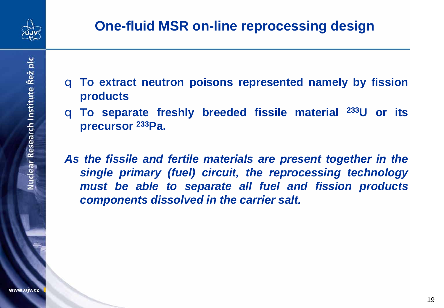

- q **To extract neutron poisons represented namely by fission products**
- q **To separate freshly breeded fissile material 233U or its precursor 233Pa.**

*As the fissile and fertile materials are present together in the single primary (fuel) circuit, the reprocessing technology must be able to separate all fuel and fission products components dissolved in the carrier salt.*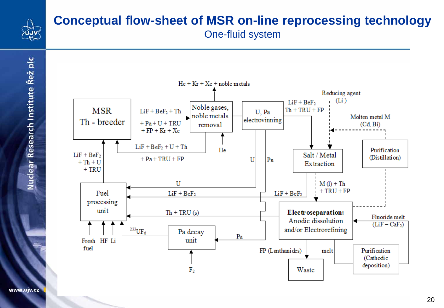

### **Conceptual flow-sheet of MSR on-line reprocessing technology** One-fluid system



www.ujv.cz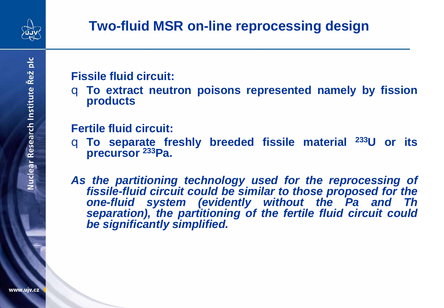

### **Fissile fluid circuit:**

q **To extract neutron poisons represented namely by fission products**

### **Fertile fluid circuit:**

q **To separate freshly breeded fissile material 233U or its precursor 233Pa.**

*As the partitioning technology used for the reprocessing of fissile-fluid circuit could be similar to those proposed for the one-fluid system (evidently without the Pa and Th separation), the partitioning of the fertile fluid circuit could be significantly simplified.*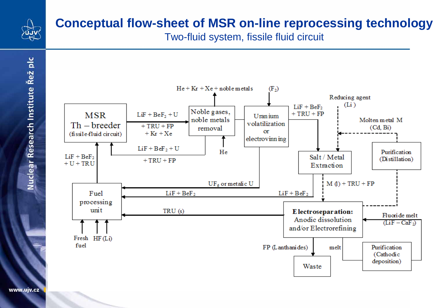

Nuclear Research Institute Řež plc

### **Conceptual flow-sheet of MSR on-line reprocessing technology**

Two-fluid system, fissile fluid circuit

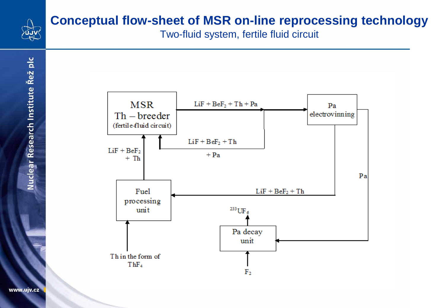

# **Conceptual flow-sheet of MSR on-line reprocessing technology**

Two-fluid system, fertile fluid circuit

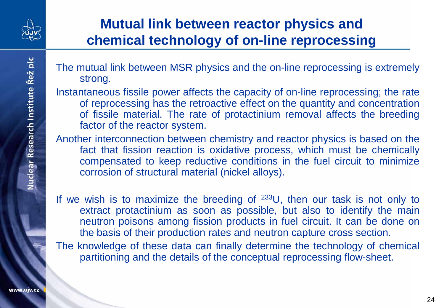

# **Mutual link between reactor physics and chemical technology of on-line reprocessing**

- The mutual link between MSR physics and the on-line reprocessing is extremely strong.
- Instantaneous fissile power affects the capacity of on-line reprocessing; the rate of reprocessing has the retroactive effect on the quantity and concentration of fissile material. The rate of protactinium removal affects the breeding factor of the reactor system.
- Another interconnection between chemistry and reactor physics is based on the fact that fission reaction is oxidative process, which must be chemically compensated to keep reductive conditions in the fuel circuit to minimize corrosion of structural material (nickel alloys).
- If we wish is to maximize the breeding of  $233U$ , then our task is not only to extract protactinium as soon as possible, but also to identify the main neutron poisons among fission products in fuel circuit. It can be done on the basis of their production rates and neutron capture cross section.
- The knowledge of these data can finally determine the technology of chemical partitioning and the details of the conceptual reprocessing flow-sheet.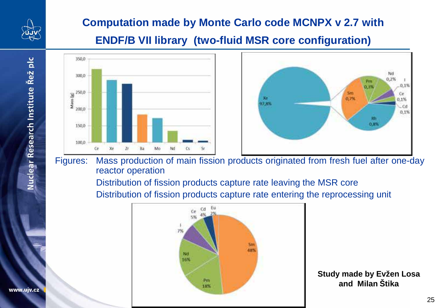

### **Computation made by Monte Carlo code MCNPX v 2.7 with**

### **ENDF/B VII library (two-fluid MSR core configuration)**





Figures: Mass production of main fission products originated from fresh fuel after one-day reactor operation

> Distribution of fission products capture rate leaving the MSR core Distribution of fission products capture rate entering the reprocessing unit



**Study made by Evžen Losa and Milan Štika**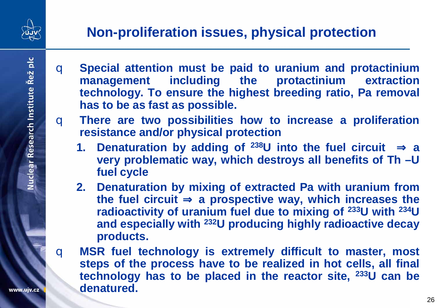

- q **Special attention must be paid to uranium and protactinium management including the protactinium extraction technology. To ensure the highest breeding ratio, Pa removal has to be as fast as possible.**
- q **There are two possibilities how to increase a proliferation resistance and/or physical protection**
	- **1. Denaturation by adding of 238U into the fuel circuit** Þ **a very problematic way, which destroys all benefits of Th –U fuel cycle**
	- **2. Denaturation by mixing of extracted Pa with uranium from the fuel circuit** Þ **a prospective way, which increases the radioactivity of uranium fuel due to mixing of 233U with 234U and especially with 232U producing highly radioactive decay products.**
- q **MSR fuel technology is extremely difficult to master, most steps of the process have to be realized in hot cells, all final technology has to be placed in the reactor site, 233U can be denatured.**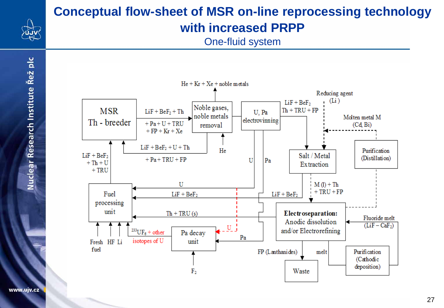

### **Conceptual flow-sheet of MSR on-line reprocessing technology with increased PRPP**

One-fluid system



Nuclear Research Institute Řež plc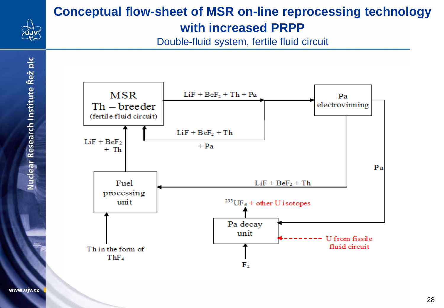

### **Conceptual flow-sheet of MSR on-line reprocessing technology with increased PRPP**

Double-fluid system, fertile fluid circuit



www.ujv.cz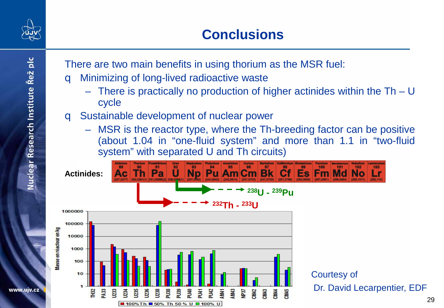

# **Conclusions**

There are two main benefits in using thorium as the MSR fuel:

- **q** Minimizing of long-lived radioactive waste
	- There is practically no production of higher actinides within the  $Th U$ cycle
- q Sustainable development of nuclear power
	- MSR is the reactor type, where the Th-breeding factor can be positive (about 1.04 in "one-fluid system" and more than 1.1 in "two-fluid system" with separated U and Th circuits)



29